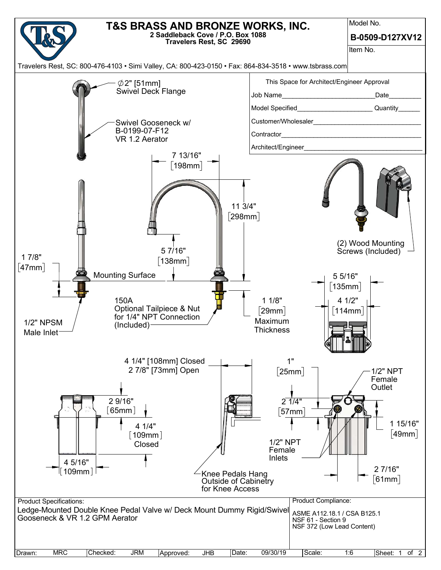